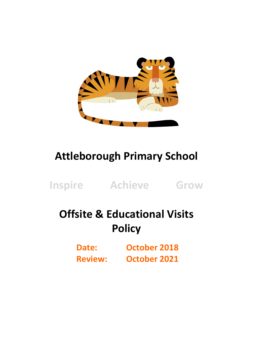

## **Attleborough Primary School**

**Inspire Achieve Grow**

# **Offsite & Educational Visits Policy**

**Date: October 2018 Review: October 2021**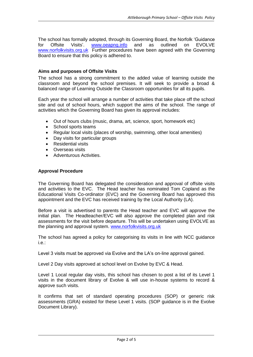The school has formally adopted, through its Governing Board, the Norfolk 'Guidance for Offsite Visits'. [www.oeapng.info](http://www.oeapng.info/) and as outlined on EVOLVE [www.norfolkvisits.org.uk](http://www.norfolkvisits.org.uk/) Further procedures have been agreed with the Governing Board to ensure that this policy is adhered to.

## **Aims and purposes of Offsite Visits**

The school has a strong commitment to the added value of learning outside the classroom and beyond the school premises. It will seek to provide a broad & balanced range of Learning Outside the Classroom opportunities for all its pupils.

Each year the school will arrange a number of activities that take place off the school site and out of school hours, which support the aims of the school. The range of activities which the Governing Board has given its approval includes:

- Out of hours clubs (music, drama, art, science, sport, homework etc)
- School sports teams
- Regular local visits (places of worship, swimming, other local amenities)
- Day visits for particular groups
- Residential visits
- Overseas visits
- Adventurous Activities.

#### **Approval Procedure**

The Governing Board has delegated the consideration and approval of offsite visits and activities to the EVC. The Head teacher has nominated Tom Copland as the Educational Visits Co-ordinator (EVC) and the Governing Board has approved this appointment and the EVC has received training by the Local Authority (LA).

Before a visit is advertised to parents the Head teacher and EVC will approve the initial plan. The Headteacher/EVC will also approve the completed plan and risk assessments for the visit before departure. This will be undertaken using EVOLVE as the planning and approval system. [www.norfolkvisits.org.uk](http://www.norfolkvisits.org.uk/)

The school has agreed a policy for categorising its visits in line with NCC guidance i.e.:

Level 3 visits must be approved via Evolve and the LA's on-line approval gained.

Level 2 Day visits approved at school level on Evolve by EVC & Head.

Level 1 Local regular day visits, this school has chosen to post a list of its Level 1 visits in the document library of Evolve & will use in-house systems to record & approve such visits.

It confirms that set of standard operating procedures (SOP) or generic risk assessments (GRA) existed for these Level 1 visits. (SOP guidance is in the Evolve Document Library).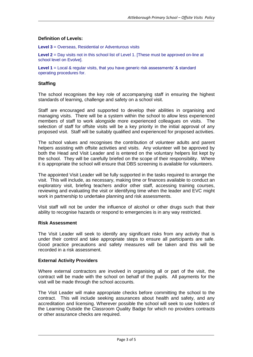## **Definition of Levels:**

**Level 3** = Overseas, Residential or Adventurous visits

**Level 2** = Day visits not in this school list of Level 1. [These must be approved on-line at school level on Evolve].

**Level 1** = Local & regular visits, that you have generic risk assessments' & standard operating procedures for.

### **Staffing**

The school recognises the key role of accompanying staff in ensuring the highest standards of learning, challenge and safety on a school visit.

Staff are encouraged and supported to develop their abilities in organising and managing visits. There will be a system within the school to allow less experienced members of staff to work alongside more experienced colleagues on visits. The selection of staff for offsite visits will be a key priority in the initial approval of any proposed visit. Staff will be suitably qualified and experienced for proposed activities.

The school values and recognises the contribution of volunteer adults and parent helpers assisting with offsite activities and visits. Any volunteer will be approved by both the Head and Visit Leader and is entered on the voluntary helpers list kept by the school. They will be carefully briefed on the scope of their responsibility. Where it is appropriate the school will ensure that DBS screening is available for volunteers.

The appointed Visit Leader will be fully supported in the tasks required to arrange the visit. This will include, as necessary, making time or finances available to conduct an exploratory visit, briefing teachers and/or other staff, accessing training courses, reviewing and evaluating the visit or identifying time when the leader and EVC might work in partnership to undertake planning and risk assessments.

Visit staff will not be under the influence of alcohol or other drugs such that their ability to recognise hazards or respond to emergencies is in any way restricted.

#### **Risk Assessment**

The Visit Leader will seek to identify any significant risks from any activity that is under their control and take appropriate steps to ensure all participants are safe. Good practice precautions and safety measures will be taken and this will be recorded in a risk assessment.

#### **External Activity Providers**

Where external contractors are involved in organising all or part of the visit, the contract will be made with the school on behalf of the pupils. All payments for the visit will be made through the school accounts.

The Visit Leader will make appropriate checks before committing the school to the contract. This will include seeking assurances about health and safety, and any accreditation and licensing. Wherever possible the school will seek to use holders of the Learning Outside the Classroom Quality Badge for which no providers contracts or other assurance checks are required.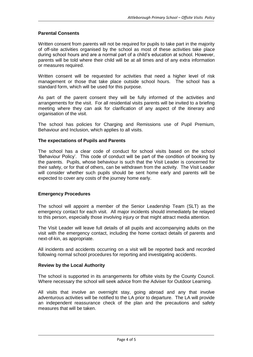## **Parental Consents**

Written consent from parents will not be required for pupils to take part in the majority of off-site activities organised by the school as most of these activities take place during school hours and are a normal part of a child's education at school. However, parents will be told where their child will be at all times and of any extra information or measures required.

Written consent will be requested for activities that need a higher level of risk management or those that take place outside school hours. The school has a standard form, which will be used for this purpose.

As part of the parent consent they will be fully informed of the activities and arrangements for the visit. For all residential visits parents will be invited to a briefing meeting where they can ask for clarification of any aspect of the itinerary and organisation of the visit.

The school has policies for Charging and Remissions use of Pupil Premium, Behaviour and Inclusion, which applies to all visits.

## **The expectations of Pupils and Parents**

The school has a clear code of conduct for school visits based on the school 'Behaviour Policy'. This code of conduct will be part of the condition of booking by the parents. Pupils, whose behaviour is such that the Visit Leader is concerned for their safety, or for that of others, can be withdrawn from the activity. The Visit Leader will consider whether such pupils should be sent home early and parents will be expected to cover any costs of the journey home early.

#### **Emergency Procedures**

The school will appoint a member of the Senior Leadership Team (SLT) as the emergency contact for each visit. All major incidents should immediately be relayed to this person, especially those involving injury or that might attract media attention.

The Visit Leader will leave full details of all pupils and accompanying adults on the visit with the emergency contact, including the home contact details of parents and next-of-kin, as appropriate.

All incidents and accidents occurring on a visit will be reported back and recorded following normal school procedures for reporting and investigating accidents.

#### **Review by the Local Authority**

The school is supported in its arrangements for offsite visits by the County Council. Where necessary the school will seek advice from the Adviser for Outdoor Learning.

All visits that involve an overnight stay, going abroad and any that involve adventurous activities will be notified to the LA prior to departure. The LA will provide an independent reassurance check of the plan and the precautions and safety measures that will be taken.